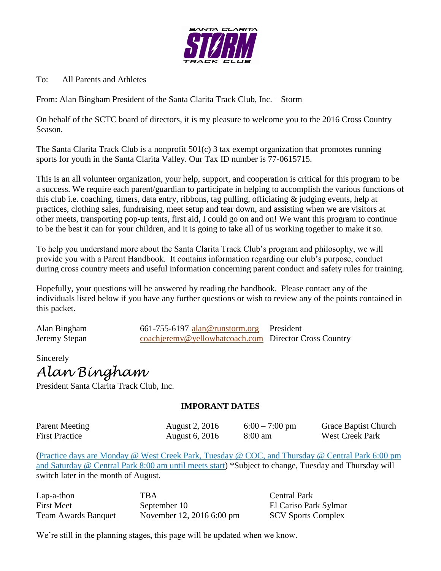

To: All Parents and Athletes

From: Alan Bingham President of the Santa Clarita Track Club, Inc. – Storm

On behalf of the SCTC board of directors, it is my pleasure to welcome you to the 2016 Cross Country Season.

The Santa Clarita Track Club is a nonprofit  $501(c)$  3 tax exempt organization that promotes running sports for youth in the Santa Clarita Valley. Our Tax ID number is 77-0615715.

This is an all volunteer organization, your help, support, and cooperation is critical for this program to be a success. We require each parent/guardian to participate in helping to accomplish the various functions of this club i.e. coaching, timers, data entry, ribbons, tag pulling, officiating & judging events, help at practices, clothing sales, fundraising, meet setup and tear down, and assisting when we are visitors at other meets, transporting pop-up tents, first aid, I could go on and on! We want this program to continue to be the best it can for your children, and it is going to take all of us working together to make it so.

To help you understand more about the Santa Clarita Track Club's program and philosophy, we will provide you with a Parent Handbook. It contains information regarding our club's purpose, conduct during cross country meets and useful information concerning parent conduct and safety rules for training.

Hopefully, your questions will be answered by reading the handbook. Please contact any of the individuals listed below if you have any further questions or wish to review any of the points contained in this packet.

Alan Bingham 661-755-6197 alan@runstorm.org President Jeremy Stepan coachieremy@yellowhatcoach.com Director Cross Country

Sincerely

*Alan Bingham*

President Santa Clarita Track Club, Inc.

#### **IMPORANT DATES**

Parent Meeting August 2, 2016 6:00 – 7:00 pm Grace Baptist Church First Practice August 6, 2016 8:00 am West Creek Park

(Practice days are Monday @ West Creek Park, Tuesday @ COC, and Thursday @ Central Park 6:00 pm and Saturday @ Central Park 8:00 am until meets start) \*Subject to change, Tuesday and Thursday will switch later in the month of August.

Lap-a-thon TBA Central Park First Meet September 10 El Cariso Park Sylmar Team Awards Banquet November 12, 2016 6:00 pm SCV Sports Complex

We're still in the planning stages, this page will be updated when we know.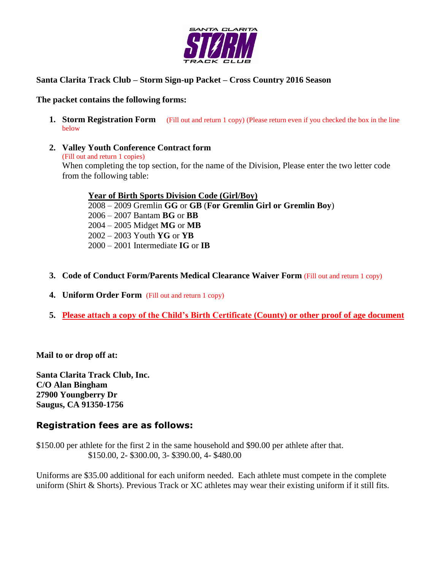

#### **Santa Clarita Track Club – Storm Sign-up Packet – Cross Country 2016 Season**

#### **The packet contains the following forms:**

- **1. Storm Registration Form** (Fill out and return 1 copy) (Please return even if you checked the box in the line below
- **2. Valley Youth Conference Contract form**

(Fill out and return 1 copies) When completing the top section, for the name of the Division, Please enter the two letter code from the following table:

**Year of Birth Sports Division Code (Girl/Boy)**

 – 2009 Gremlin **GG** or **GB** (**For Gremlin Girl or Gremlin Boy**) – 2007 Bantam **BG** or **BB** – 2005 Midget **MG** or **MB** – 2003 Youth **YG** or **YB** – 2001 Intermediate **IG** or **IB**

- **3. Code of Conduct Form/Parents Medical Clearance Waiver Form** (Fill out and return 1 copy)
- **4. Uniform Order Form** (Fill out and return 1 copy)
- **5. Please attach a copy of the Child's Birth Certificate (County) or other proof of age document**

**Mail to or drop off at:** 

**Santa Clarita Track Club, Inc. C/O Alan Bingham 27900 Youngberry Dr Saugus, CA 91350-1756**

### **Registration fees are as follows:**

\$150.00 per athlete for the first 2 in the same household and \$90.00 per athlete after that. \$150.00, 2- \$300.00, 3- \$390.00, 4- \$480.00

Uniforms are \$35.00 additional for each uniform needed. Each athlete must compete in the complete uniform (Shirt & Shorts). Previous Track or XC athletes may wear their existing uniform if it still fits.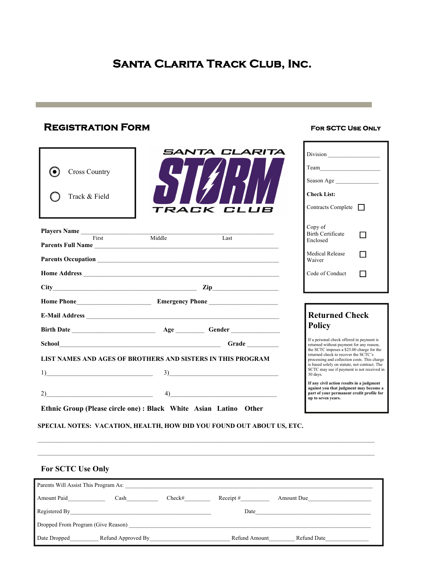# **Santa Clarita Track Club, Inc.**

## **Registration Form For SCTC Use Only**

| <b>Cross Country</b><br>$\bullet$<br>Track & Field                |        | SANTA CLARITA<br>TRACK CLUB                                           | Team<br>Season Age<br><b>Check List:</b><br>Contracts Complete                                                                                         |
|-------------------------------------------------------------------|--------|-----------------------------------------------------------------------|--------------------------------------------------------------------------------------------------------------------------------------------------------|
| Players Name First<br>Parents Full Name                           | Middle | $\overline{\text{Last}}$                                              | Copy of<br><b>Birth Certificate</b><br>Enclosed                                                                                                        |
|                                                                   |        |                                                                       | <b>Medical Release</b><br>Waiver                                                                                                                       |
|                                                                   |        |                                                                       | Code of Conduct<br>l 1                                                                                                                                 |
| $City$ $Zip$ $Zip$                                                |        |                                                                       |                                                                                                                                                        |
|                                                                   |        |                                                                       |                                                                                                                                                        |
|                                                                   |        |                                                                       | <b>Returned Check</b>                                                                                                                                  |
|                                                                   |        |                                                                       | <b>Policy</b>                                                                                                                                          |
|                                                                   |        |                                                                       | If a personal check offered in payment is<br>returned without payment for any reason,                                                                  |
| LIST NAMES AND AGES OF BROTHERS AND SISTERS IN THIS PROGRAM       |        |                                                                       | the SCTC imposes a \$25.00 charge for the<br>returned check to recover the SCTC's<br>processing and collection costs. This charge                      |
| 1)                                                                |        | 3)                                                                    | is based solely on statute, not contract. The<br>SCTC may sue if payment is not received in<br>30 days.                                                |
| 2)                                                                |        | $\left( \frac{4}{2} \right)$                                          | If any civil action results in a judgment<br>against you that judgment may become a<br>part of your permanent credit profile for<br>up to seven years. |
| Ethnic Group (Please circle one) : Black White Asian Latino Other |        | SPECIAL NOTES: VACATION, HEALTH, HOW DID YOU FOUND OUT ABOUT US, ETC. |                                                                                                                                                        |

#### **For SCTC Use Only**

| Parents Will Assist This Program As: |                    |        |               |             |  |  |
|--------------------------------------|--------------------|--------|---------------|-------------|--|--|
| Amount Paid                          | Cash               | Check# | Receipt #     | Amount Due  |  |  |
| Registered By                        |                    |        | Date          |             |  |  |
| Dropped From Program (Give Reason)   |                    |        |               |             |  |  |
| Date Dropped                         | Refund Approved By |        | Refund Amount | Refund Date |  |  |

 $\_$  , and the state of the state of the state of the state of the state of the state of the state of the state of the state of the state of the state of the state of the state of the state of the state of the state of the  $\_$  , and the state of the state of the state of the state of the state of the state of the state of the state of the state of the state of the state of the state of the state of the state of the state of the state of the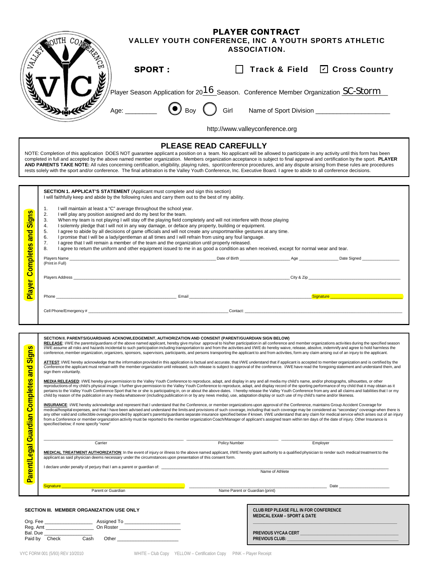|                                                               | NOUTH COM                                                                                                                                                                                                                                                                                                                                                                                                                                                                                                                                                                                                                                                                                                                                         | <b>PLAYER CONTRACT</b><br>VALLEY YOUTH CONFERENCE, INC A YOUTH SPORTS ATHLETIC<br><b>ASSOCIATION.</b>                                                                                                                                                                                                                                                                                                                                                                                                                                                                                                                                                                                                                                                                                                                                                                                                                                                                                                                                                                                                                                                                                                                                                                                                                                                                                                                                                                                                                                                                                                                                                                                                                                                                                                                                                                                                                                                                                                                                                                                                                                                                                                                                                                                                                                                                                                                                                                                                                                                                                                                                                                                                                      |  |  |  |
|---------------------------------------------------------------|---------------------------------------------------------------------------------------------------------------------------------------------------------------------------------------------------------------------------------------------------------------------------------------------------------------------------------------------------------------------------------------------------------------------------------------------------------------------------------------------------------------------------------------------------------------------------------------------------------------------------------------------------------------------------------------------------------------------------------------------------|----------------------------------------------------------------------------------------------------------------------------------------------------------------------------------------------------------------------------------------------------------------------------------------------------------------------------------------------------------------------------------------------------------------------------------------------------------------------------------------------------------------------------------------------------------------------------------------------------------------------------------------------------------------------------------------------------------------------------------------------------------------------------------------------------------------------------------------------------------------------------------------------------------------------------------------------------------------------------------------------------------------------------------------------------------------------------------------------------------------------------------------------------------------------------------------------------------------------------------------------------------------------------------------------------------------------------------------------------------------------------------------------------------------------------------------------------------------------------------------------------------------------------------------------------------------------------------------------------------------------------------------------------------------------------------------------------------------------------------------------------------------------------------------------------------------------------------------------------------------------------------------------------------------------------------------------------------------------------------------------------------------------------------------------------------------------------------------------------------------------------------------------------------------------------------------------------------------------------------------------------------------------------------------------------------------------------------------------------------------------------------------------------------------------------------------------------------------------------------------------------------------------------------------------------------------------------------------------------------------------------------------------------------------------------------------------------------------------------|--|--|--|
|                                                               | <b>SPORT:</b>                                                                                                                                                                                                                                                                                                                                                                                                                                                                                                                                                                                                                                                                                                                                     | Track & Field <b>☑</b> Cross Country                                                                                                                                                                                                                                                                                                                                                                                                                                                                                                                                                                                                                                                                                                                                                                                                                                                                                                                                                                                                                                                                                                                                                                                                                                                                                                                                                                                                                                                                                                                                                                                                                                                                                                                                                                                                                                                                                                                                                                                                                                                                                                                                                                                                                                                                                                                                                                                                                                                                                                                                                                                                                                                                                       |  |  |  |
|                                                               |                                                                                                                                                                                                                                                                                                                                                                                                                                                                                                                                                                                                                                                                                                                                                   | $^\prime$ Player Season Application for 20 $\underline{16}$ Season. $\,$ Conference Member Organization $\underline{\rm SC\text{-}Storm}$ $\,-$                                                                                                                                                                                                                                                                                                                                                                                                                                                                                                                                                                                                                                                                                                                                                                                                                                                                                                                                                                                                                                                                                                                                                                                                                                                                                                                                                                                                                                                                                                                                                                                                                                                                                                                                                                                                                                                                                                                                                                                                                                                                                                                                                                                                                                                                                                                                                                                                                                                                                                                                                                            |  |  |  |
|                                                               | Age: $\qquad \qquad \bigodot$ Boy                                                                                                                                                                                                                                                                                                                                                                                                                                                                                                                                                                                                                                                                                                                 | Girl                                                                                                                                                                                                                                                                                                                                                                                                                                                                                                                                                                                                                                                                                                                                                                                                                                                                                                                                                                                                                                                                                                                                                                                                                                                                                                                                                                                                                                                                                                                                                                                                                                                                                                                                                                                                                                                                                                                                                                                                                                                                                                                                                                                                                                                                                                                                                                                                                                                                                                                                                                                                                                                                                                                       |  |  |  |
|                                                               |                                                                                                                                                                                                                                                                                                                                                                                                                                                                                                                                                                                                                                                                                                                                                   | http://www.valleyconference.org                                                                                                                                                                                                                                                                                                                                                                                                                                                                                                                                                                                                                                                                                                                                                                                                                                                                                                                                                                                                                                                                                                                                                                                                                                                                                                                                                                                                                                                                                                                                                                                                                                                                                                                                                                                                                                                                                                                                                                                                                                                                                                                                                                                                                                                                                                                                                                                                                                                                                                                                                                                                                                                                                            |  |  |  |
|                                                               |                                                                                                                                                                                                                                                                                                                                                                                                                                                                                                                                                                                                                                                                                                                                                   | <b>PLEASE READ CAREFULLY</b><br>NOTE: Completion of this application DOES NOT guarantee applicant a position on a team. No applicant will be allowed to participate in any activity until this form has been<br>completed in full and accepted by the above named member organization. Members organization acceptance is subject to final approval and certification by the sport. PLAYER<br>AND PARENTS TAKE NOTE: All rules concerning certification, eligibility, playing rules, sport/conference procedures, and any dispute arising from these rules are procedures<br>rests solely with the sport and/or conference. The final arbitration is the Valley Youth Conference, Inc. Executive Board. I agree to abide to all conference decisions.                                                                                                                                                                                                                                                                                                                                                                                                                                                                                                                                                                                                                                                                                                                                                                                                                                                                                                                                                                                                                                                                                                                                                                                                                                                                                                                                                                                                                                                                                                                                                                                                                                                                                                                                                                                                                                                                                                                                                                      |  |  |  |
|                                                               | SECTION 1. APPLICAT'S STATEMENT (Applicant must complete and sign this section)<br>I will faithfully keep and abide by the following rules and carry them out to the best of my ability.                                                                                                                                                                                                                                                                                                                                                                                                                                                                                                                                                          |                                                                                                                                                                                                                                                                                                                                                                                                                                                                                                                                                                                                                                                                                                                                                                                                                                                                                                                                                                                                                                                                                                                                                                                                                                                                                                                                                                                                                                                                                                                                                                                                                                                                                                                                                                                                                                                                                                                                                                                                                                                                                                                                                                                                                                                                                                                                                                                                                                                                                                                                                                                                                                                                                                                            |  |  |  |
| <mark>Siqns</mark><br><b>Player Completes and</b>             | I will maintain at least a "C" average throughout the school year.<br>1.<br>2.<br>I will play any position assigned and do my best for the team.<br>When my team is not playing I will stay off the playing field completely and will not interfere with those playing<br>3.<br>I solemnly pledge that I will not in any way damage, or deface any property, building or equipment.<br>4.<br>I agree to abide by all decisions of game officials and will not create any unsportmanlike gestures at any time.<br>5.<br>I promise that I will be a lady/gentleman at all times and I will refrain from using any foul language.<br>6.<br>7.<br>I agree that I will remain a member of the team and the organization until properly released.<br>8. | I agree to return the uniform and other equipment issued to me in as good a condition as when received, except for normal wear and tear.                                                                                                                                                                                                                                                                                                                                                                                                                                                                                                                                                                                                                                                                                                                                                                                                                                                                                                                                                                                                                                                                                                                                                                                                                                                                                                                                                                                                                                                                                                                                                                                                                                                                                                                                                                                                                                                                                                                                                                                                                                                                                                                                                                                                                                                                                                                                                                                                                                                                                                                                                                                   |  |  |  |
|                                                               | (Print in Full)                                                                                                                                                                                                                                                                                                                                                                                                                                                                                                                                                                                                                                                                                                                                   |                                                                                                                                                                                                                                                                                                                                                                                                                                                                                                                                                                                                                                                                                                                                                                                                                                                                                                                                                                                                                                                                                                                                                                                                                                                                                                                                                                                                                                                                                                                                                                                                                                                                                                                                                                                                                                                                                                                                                                                                                                                                                                                                                                                                                                                                                                                                                                                                                                                                                                                                                                                                                                                                                                                            |  |  |  |
|                                                               |                                                                                                                                                                                                                                                                                                                                                                                                                                                                                                                                                                                                                                                                                                                                                   |                                                                                                                                                                                                                                                                                                                                                                                                                                                                                                                                                                                                                                                                                                                                                                                                                                                                                                                                                                                                                                                                                                                                                                                                                                                                                                                                                                                                                                                                                                                                                                                                                                                                                                                                                                                                                                                                                                                                                                                                                                                                                                                                                                                                                                                                                                                                                                                                                                                                                                                                                                                                                                                                                                                            |  |  |  |
|                                                               |                                                                                                                                                                                                                                                                                                                                                                                                                                                                                                                                                                                                                                                                                                                                                   |                                                                                                                                                                                                                                                                                                                                                                                                                                                                                                                                                                                                                                                                                                                                                                                                                                                                                                                                                                                                                                                                                                                                                                                                                                                                                                                                                                                                                                                                                                                                                                                                                                                                                                                                                                                                                                                                                                                                                                                                                                                                                                                                                                                                                                                                                                                                                                                                                                                                                                                                                                                                                                                                                                                            |  |  |  |
|                                                               | Phone                                                                                                                                                                                                                                                                                                                                                                                                                                                                                                                                                                                                                                                                                                                                             | <u> 1980 - Januar Alexander III, amerikan berarta dalam penyatan berarta perangan perang berarta perangan berarta</u>                                                                                                                                                                                                                                                                                                                                                                                                                                                                                                                                                                                                                                                                                                                                                                                                                                                                                                                                                                                                                                                                                                                                                                                                                                                                                                                                                                                                                                                                                                                                                                                                                                                                                                                                                                                                                                                                                                                                                                                                                                                                                                                                                                                                                                                                                                                                                                                                                                                                                                                                                                                                      |  |  |  |
|                                                               |                                                                                                                                                                                                                                                                                                                                                                                                                                                                                                                                                                                                                                                                                                                                                   |                                                                                                                                                                                                                                                                                                                                                                                                                                                                                                                                                                                                                                                                                                                                                                                                                                                                                                                                                                                                                                                                                                                                                                                                                                                                                                                                                                                                                                                                                                                                                                                                                                                                                                                                                                                                                                                                                                                                                                                                                                                                                                                                                                                                                                                                                                                                                                                                                                                                                                                                                                                                                                                                                                                            |  |  |  |
|                                                               |                                                                                                                                                                                                                                                                                                                                                                                                                                                                                                                                                                                                                                                                                                                                                   |                                                                                                                                                                                                                                                                                                                                                                                                                                                                                                                                                                                                                                                                                                                                                                                                                                                                                                                                                                                                                                                                                                                                                                                                                                                                                                                                                                                                                                                                                                                                                                                                                                                                                                                                                                                                                                                                                                                                                                                                                                                                                                                                                                                                                                                                                                                                                                                                                                                                                                                                                                                                                                                                                                                            |  |  |  |
| <b>Signs</b><br><mark>and</mark><br>$\overline{S}$<br>Complet | SECTION II. PARENTS/GUARDIANS ACKNOWLEDGEMENT, AUTHORIZATION AND CONSENT (PARENT/GUARDIAN SIGN BELOW)<br>sign them voluntarily.<br>specified below; if none specify "none"                                                                                                                                                                                                                                                                                                                                                                                                                                                                                                                                                                        | RELEASE: I/WE the parents/guardians of the above named applicant, hereby give my/our approval to his/her participation in all conference and member organizations activities during the specified season<br>I/WE assume all risks and hazards incidental to such participation including transportation to and from the activities and I/WE do hereby waive, release, absolve, indemnify and agree to hold harmless the<br>conference, member organization, organizers, sponsors, supervisors, participants, and persons transporting the applicant to and from activities, form any claim arising out of an injury to the applicant.<br>ATTEST: I/WE hereby acknowledge that the information provided in this application is factual and accurate, that I/WE understand that if applicant is accepted to member organization and is certified by the<br>Conference the applicant must remain with the member organization until released, such release is subject to approval of the conference. I/WE have read the foregoing statement and understand them, and<br>MEDIA RELEASED: I/WE hereby give permission to the Valley Youth Conference to reproduce, adapt, and display in any and all media my child's name, and/or photographs, silhouettes, or other<br>reproductions of my child's physical image. I further give permission to the Valley Youth Conference to reproduce, adapt, and display record of the sporting performance of my child that it may obtain as it<br>pertains to the Valley Youth Conference Sport that he or she is participating in, on or about the above dates. I hereby release the Valley Youth Conference from any and all claims and liabilities that I or my<br>child by reason of the publication in any media whatsoever (including publication in or by any news media), use, adaptation display or such use of my child's name and/or likeness.<br>INSURANCE: I/WE hereby acknowledge and represent that I understand that the Conference, or member organizations upon approval of the Conference, maintains Group Accident Coverage for<br>medical/hospital expenses, and that I have been advised and understand the limits and provisions of such coverage, including that such coverage may be considered as "secondary" coverage when there is<br>any other valid and collectible overage provided by applicant's parents/guardians separate insurance specified below if known. I/WE understand that any claim for medical service which arises out of an injury<br>from a Conference or member organization activity must be reported to the member organization Coach/Manager of applicant's assigned team within ten days of the date of injury. Other Insurance is |  |  |  |
|                                                               |                                                                                                                                                                                                                                                                                                                                                                                                                                                                                                                                                                                                                                                                                                                                                   |                                                                                                                                                                                                                                                                                                                                                                                                                                                                                                                                                                                                                                                                                                                                                                                                                                                                                                                                                                                                                                                                                                                                                                                                                                                                                                                                                                                                                                                                                                                                                                                                                                                                                                                                                                                                                                                                                                                                                                                                                                                                                                                                                                                                                                                                                                                                                                                                                                                                                                                                                                                                                                                                                                                            |  |  |  |
|                                                               | Carrier<br>applicant as said physician deems necessary under the circumstances upon presentation of this consent form.                                                                                                                                                                                                                                                                                                                                                                                                                                                                                                                                                                                                                            | Policy Number<br>Employer<br>MEDICAL TREATMENT AUTHORIZATION: In the event of injury or illness to the above named applicant, I/WE hereby grant authority to a qualified physician to render such medical treatment to the                                                                                                                                                                                                                                                                                                                                                                                                                                                                                                                                                                                                                                                                                                                                                                                                                                                                                                                                                                                                                                                                                                                                                                                                                                                                                                                                                                                                                                                                                                                                                                                                                                                                                                                                                                                                                                                                                                                                                                                                                                                                                                                                                                                                                                                                                                                                                                                                                                                                                                 |  |  |  |
|                                                               | I declare under penalty of perjury that I am a parent or quardian of:                                                                                                                                                                                                                                                                                                                                                                                                                                                                                                                                                                                                                                                                             | Name of Athlete                                                                                                                                                                                                                                                                                                                                                                                                                                                                                                                                                                                                                                                                                                                                                                                                                                                                                                                                                                                                                                                                                                                                                                                                                                                                                                                                                                                                                                                                                                                                                                                                                                                                                                                                                                                                                                                                                                                                                                                                                                                                                                                                                                                                                                                                                                                                                                                                                                                                                                                                                                                                                                                                                                            |  |  |  |
| Parent/Legal Guardian                                         | Signature <b>Signature Signature</b>                                                                                                                                                                                                                                                                                                                                                                                                                                                                                                                                                                                                                                                                                                              | <u>Date</u> Date <b>Date Date Date Date Date Date Date <i>Date</i></b>                                                                                                                                                                                                                                                                                                                                                                                                                                                                                                                                                                                                                                                                                                                                                                                                                                                                                                                                                                                                                                                                                                                                                                                                                                                                                                                                                                                                                                                                                                                                                                                                                                                                                                                                                                                                                                                                                                                                                                                                                                                                                                                                                                                                                                                                                                                                                                                                                                                                                                                                                                                                                                                     |  |  |  |
|                                                               | Parent or Guardian                                                                                                                                                                                                                                                                                                                                                                                                                                                                                                                                                                                                                                                                                                                                | Name Parent or Guardian (print)                                                                                                                                                                                                                                                                                                                                                                                                                                                                                                                                                                                                                                                                                                                                                                                                                                                                                                                                                                                                                                                                                                                                                                                                                                                                                                                                                                                                                                                                                                                                                                                                                                                                                                                                                                                                                                                                                                                                                                                                                                                                                                                                                                                                                                                                                                                                                                                                                                                                                                                                                                                                                                                                                            |  |  |  |
| Org. Fee                                                      | SECTION III. MEMBER ORGANIZATION USE ONLY                                                                                                                                                                                                                                                                                                                                                                                                                                                                                                                                                                                                                                                                                                         | CLUB REP PLEASE FILL IN FOR CONFERENCE<br><b>MEDICAL EXAM - SPORT &amp; DATE</b>                                                                                                                                                                                                                                                                                                                                                                                                                                                                                                                                                                                                                                                                                                                                                                                                                                                                                                                                                                                                                                                                                                                                                                                                                                                                                                                                                                                                                                                                                                                                                                                                                                                                                                                                                                                                                                                                                                                                                                                                                                                                                                                                                                                                                                                                                                                                                                                                                                                                                                                                                                                                                                           |  |  |  |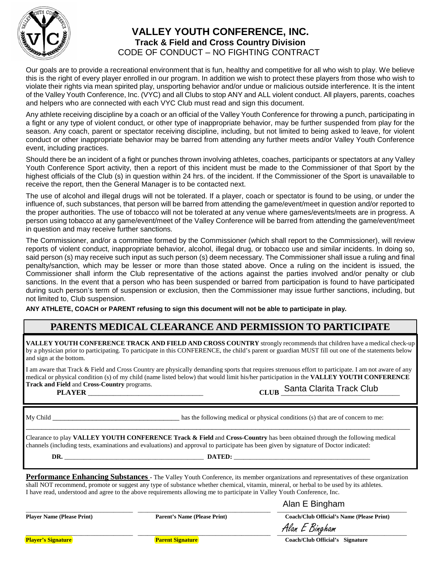

#### **VALLEY YOUTH CONFERENCE, INC. Track & Field and Cross Country Division** CODE OF CONDUCT – NO FIGHTING CONTRACT

Our goals are to provide a recreational environment that is fun, healthy and competitive for all who wish to play. We believe this is the right of every player enrolled in our program. In addition we wish to protect these players from those who wish to violate their rights via mean spirited play, unsporting behavior and/or undue or malicious outside interference. It is the intent of the Valley Youth Conference, Inc. (VYC) and all Clubs to stop ANY and ALL violent conduct. All players, parents, coaches and helpers who are connected with each VYC Club must read and sign this document.

Any athlete receiving discipline by a coach or an official of the Valley Youth Conference for throwing a punch, participating in a fight or any type of violent conduct, or other type of inappropriate behavior, may be further suspended from play for the season. Any coach, parent or spectator receiving discipline, including, but not limited to being asked to leave, for violent conduct or other inappropriate behavior may be barred from attending any further meets and/or Valley Youth Conference event, including practices.

Should there be an incident of a fight or punches thrown involving athletes, coaches, participants or spectators at any Valley Youth Conference Sport activity, then a report of this incident must be made to the Commissioner of that Sport by the highest officials of the Club (s) in question within 24 hrs. of the incident. If the Commissioner of the Sport is unavailable to receive the report, then the General Manager is to be contacted next.

The use of alcohol and illegal drugs will not be tolerated. If a player, coach or spectator is found to be using, or under the influence of, such substances, that person will be barred from attending the game/event/meet in question and/or reported to the proper authorities. The use of tobacco will not be tolerated at any venue where games/events/meets are in progress. A person using tobacco at any game/event/meet of the Valley Conference will be barred from attending the game/event/meet in question and may receive further sanctions*.*

The Commissioner, and/or a committee formed by the Commissioner (which shall report to the Commissioner), will review reports of violent conduct, inappropriate behavior, alcohol, illegal drug, or tobacco use and similar incidents. In doing so, said person (s) may receive such input as such person (s) deem necessary. The Commissioner shall issue a ruling and final penalty/sanction, which may be lesser or more than those stated above. Once a ruling on the incident is issued, the Commissioner shall inform the Club representative of the actions against the parties involved and/or penalty or club sanctions. In the event that a person who has been suspended or barred from participation is found to have participated during such person's term of suspension or exclusion, then the Commissioner may issue further sanctions, including, but not limited to, Club suspension.

**ANY ATHLETE, COACH or PARENT refusing to sign this document will not be able to participate in play.**

#### **PARENTS MEDICAL CLEARANCE AND PERMISSION TO PARTICIPATE**

**VALLEY YOUTH CONFERENCE TRACK AND FIELD AND CROSS COUNTRY** strongly recommends that children have a medical check-up by a physician prior to participating. To participate in this CONFERENCE, the child's parent or guardian MUST fill out one of the statements below and sign at the bottom.

I am aware that Track & Field and Cross Country are physically demanding sports that requires strenuous effort to participate. I am not aware of any medical or physical condition (s) of my child (name listed below) that would limit his/her participation in the **VALLEY YOUTH CONFERENCE Track and Field** and **Cross-Country** programs.  **PLAYER** \_\_\_\_\_\_\_\_\_\_\_\_\_\_\_\_\_\_\_\_\_\_\_\_\_\_\_\_\_\_\_\_ **CLUB** \_\_\_\_\_\_\_\_\_\_\_\_\_\_\_\_\_\_\_\_\_\_\_\_\_\_\_\_\_\_\_\_\_ Santa Clarita Track Club

My Child \_\_\_\_\_\_\_\_\_\_\_\_\_\_\_\_\_\_\_\_\_\_\_\_\_\_\_\_\_\_\_\_ has the following medical or physical conditions (s) that are of concern to me:

Clearance to play **VALLEY YOUTH CONFERENCE Track & Field** and **Cross-Country** has been obtained through the following medical channels (including tests, examinations and evaluations) and approval to participate has been given by signature of Doctor indicated:

**DR.** \_\_\_\_\_\_\_\_\_\_\_\_\_\_\_\_\_\_\_\_\_\_\_\_\_\_\_\_\_\_\_\_\_\_\_\_\_\_\_\_\_\_\_ **DATED:** \_\_\_\_\_\_\_\_\_\_\_\_\_\_\_\_\_\_\_\_\_\_\_\_\_\_\_\_\_\_\_\_\_\_\_\_\_\_\_\_\_\_

\_\_\_\_\_\_\_\_\_\_\_\_\_\_\_\_\_\_\_\_\_\_\_\_\_\_\_\_\_\_\_\_\_\_\_\_\_\_\_\_\_\_\_\_\_\_\_\_\_\_\_\_\_\_\_\_\_\_\_\_\_\_\_\_\_\_\_\_\_\_\_\_\_\_\_\_\_\_\_\_\_\_\_\_\_\_\_\_\_\_\_\_\_\_\_\_\_

**Performance Enhancing Substances -** The Valley Youth Conference, its member organizations and representatives of these organization shall NOT recommend, promote or suggest any type of substance whether chemical, vitamin, mineral, or herbal to be used by its athletes. I have read, understood and agree to the above requirements allowing me to participate in Valley Youth Conference, Inc.

#### \_\_\_\_\_\_\_\_\_\_\_\_\_\_\_\_\_\_\_\_\_\_\_\_\_\_\_\_\_\_\_\_\_ \_\_\_\_\_\_\_\_\_\_\_\_\_\_\_\_\_\_\_\_\_\_\_\_\_\_\_\_\_\_\_\_\_\_\_\_\_\_\_\_\_\_\_\_\_\_\_\_\_\_\_\_\_\_\_\_\_\_\_\_\_\_\_\_\_\_\_\_\_\_\_\_\_\_\_\_\_\_\_\_\_\_\_\_ Alan E Bingham

**Player Name (Please Print) Parent's Name (Please Print) Coach/Club Official's Name (Please Print)** 

Alan E Bingham

**Player's Signature Parent Signature Coach/Club Official's Signature**